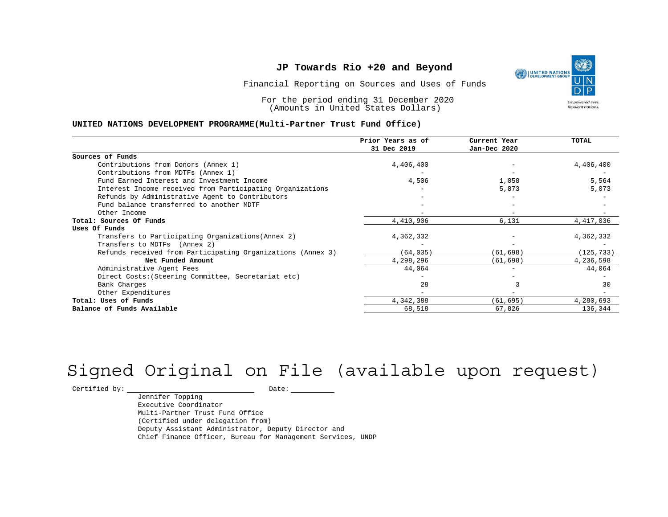Financial Reporting on Sources and Uses of Funds

For the period ending 31 December 2020 (Amounts in United States Dollars)

#### **UNITED NATIONS DEVELOPMENT PROGRAMME(Multi-Partner Trust Fund Office)**

|                                                             | Prior Years as of<br>31 Dec 2019 | Current Year<br>Jan-Dec 2020 | <b>TOTAL</b> |
|-------------------------------------------------------------|----------------------------------|------------------------------|--------------|
|                                                             |                                  |                              |              |
| Sources of Funds                                            |                                  |                              |              |
| Contributions from Donors (Annex 1)                         | 4,406,400                        |                              | 4,406,400    |
| Contributions from MDTFs (Annex 1)                          |                                  |                              |              |
| Fund Earned Interest and Investment Income                  | 4,506                            | 1,058                        | 5,564        |
| Interest Income received from Participating Organizations   |                                  | 5,073                        | 5,073        |
| Refunds by Administrative Agent to Contributors             |                                  |                              |              |
| Fund balance transferred to another MDTF                    |                                  |                              |              |
| Other Income                                                |                                  | $\overline{\phantom{a}}$     |              |
| Total: Sources Of Funds                                     | 4,410,906                        | 6,131                        | 4,417,036    |
| Uses Of Funds                                               |                                  |                              |              |
| Transfers to Participating Organizations (Annex 2)          | 4,362,332                        |                              | 4,362,332    |
| Transfers to MDTFs (Annex 2)                                |                                  |                              |              |
| Refunds received from Participating Organizations (Annex 3) | (64, 035)                        | (61, 698)                    | (125, 733)   |
| Net Funded Amount                                           | 4,298,296                        | (61, 698)                    | 4,236,598    |
| Administrative Agent Fees                                   | 44,064                           | $-$                          | 44,064       |
| Direct Costs: (Steering Committee, Secretariat etc)         |                                  |                              |              |
| Bank Charges                                                | 28                               |                              | 30           |
| Other Expenditures                                          |                                  |                              |              |
| Total: Uses of Funds                                        | 4,342,388                        | (61, 695)                    | 4,280,693    |
| Balance of Funds Available                                  | 68,518                           | 67,826                       | 136,344      |

# Signed Original on File (available upon request)

 $\begin{tabular}{c} \multicolumn{2}{c}{{\texttt{Certified by:}}}} \quad \quad \texttt{Date:} \end{tabular}$ 

Jennifer Topping Executive Coordinator Multi-Partner Trust Fund Office (Certified under delegation from) Deputy Assistant Administrator, Deputy Director and Chief Finance Officer, Bureau for Management Services, UNDP

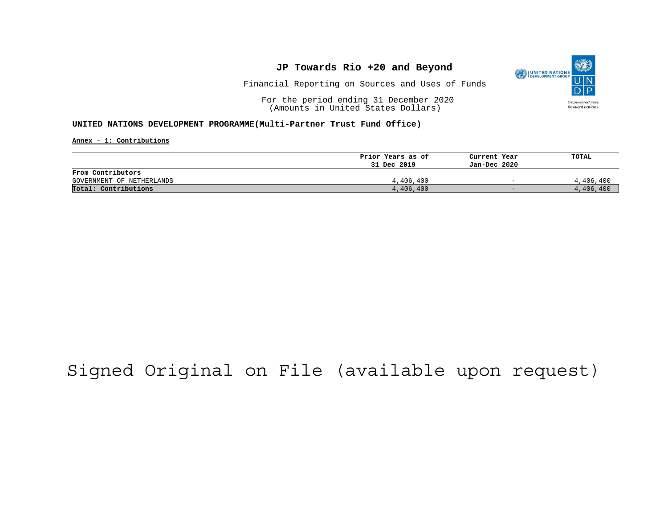

Financial Reporting on Sources and Uses of Funds

For the period ending 31 December 2020 (Amounts in United States Dollars)

#### **UNITED NATIONS DEVELOPMENT PROGRAMME(Multi-Partner Trust Fund Office)**

**Annex - 1: Contributions**

|                           | Prior Years as of | Current Year             | TOTAL     |
|---------------------------|-------------------|--------------------------|-----------|
|                           | 31 Dec 2019       | Jan-Dec 2020             |           |
| From Contributors         |                   |                          |           |
| GOVERNMENT OF NETHERLANDS | 4,406,400         | $\overline{\phantom{0}}$ | 4,406,400 |
| Total: Contributions      | 4,406,400         | $-$                      | 4,406,400 |

## Signed Original on File (available upon request)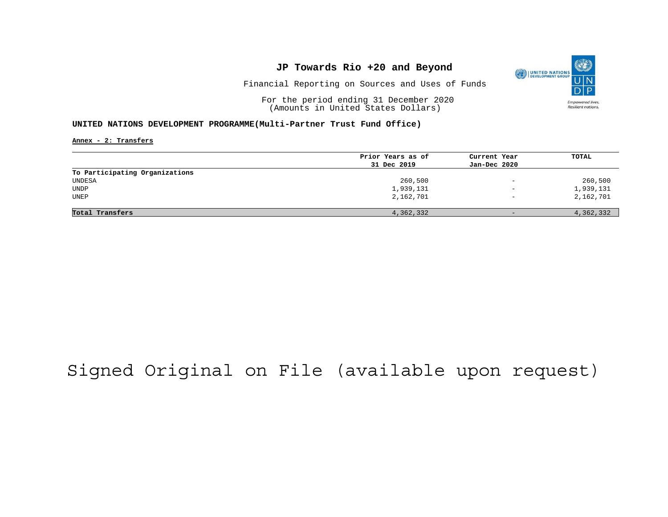

Financial Reporting on Sources and Uses of Funds

For the period ending 31 December 2020 (Amounts in United States Dollars)

#### **UNITED NATIONS DEVELOPMENT PROGRAMME(Multi-Partner Trust Fund Office)**

**Annex - 2: Transfers**

|                                | Prior Years as of | Current Year             | TOTAL     |
|--------------------------------|-------------------|--------------------------|-----------|
|                                | 31 Dec 2019       | Jan-Dec 2020             |           |
| To Participating Organizations |                   |                          |           |
| UNDESA                         | 260,500           | $\overline{\phantom{m}}$ | 260,500   |
| UNDP                           | 1,939,131         | $\overline{\phantom{0}}$ | 1,939,131 |
| UNEP                           | 2,162,701         | $\overline{\phantom{0}}$ | 2,162,701 |
|                                |                   |                          |           |
| Total Transfers                | 4,362,332         | $-$                      | 4,362,332 |

## Signed Original on File (available upon request)